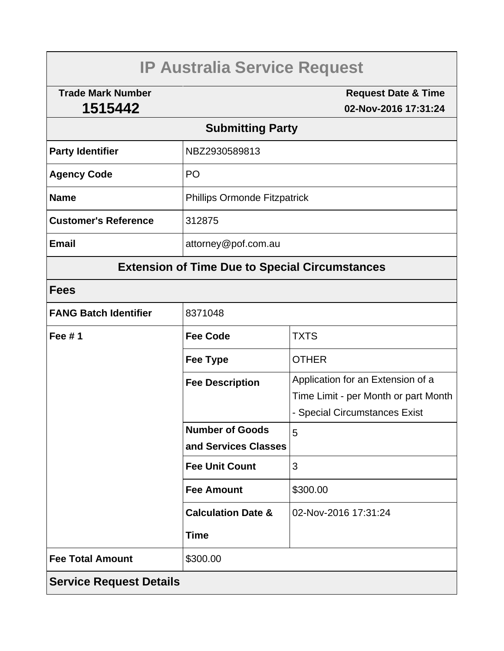# **IP Australia Service Request**

**Trade Mark Number 1515442**

**Request Date & Time 02-Nov-2016 17:31:24**

# **Submitting Party**

| <b>Party Identifier</b>     | NBZ2930589813                       |  |
|-----------------------------|-------------------------------------|--|
| <b>Agency Code</b>          | P <sub>O</sub>                      |  |
| <b>Name</b>                 | <b>Phillips Ormonde Fitzpatrick</b> |  |
| <b>Customer's Reference</b> | 312875                              |  |
| <b>Email</b>                | attorney@pof.com.au                 |  |

# **Extension of Time Due to Special Circumstances**

### **Fees**

| <b>FANG Batch Identifier</b>   | 8371048                       |                                      |  |  |
|--------------------------------|-------------------------------|--------------------------------------|--|--|
| Fee $# 1$                      | <b>Fee Code</b>               | TXTS                                 |  |  |
|                                | Fee Type                      | <b>OTHER</b>                         |  |  |
|                                | <b>Fee Description</b>        | Application for an Extension of a    |  |  |
|                                |                               | Time Limit - per Month or part Month |  |  |
|                                |                               | - Special Circumstances Exist        |  |  |
|                                | <b>Number of Goods</b>        | 5                                    |  |  |
|                                | and Services Classes          |                                      |  |  |
|                                | <b>Fee Unit Count</b>         | 3                                    |  |  |
|                                | <b>Fee Amount</b>             | \$300.00                             |  |  |
|                                | <b>Calculation Date &amp;</b> | 02-Nov-2016 17:31:24                 |  |  |
|                                | <b>Time</b>                   |                                      |  |  |
| <b>Fee Total Amount</b>        | \$300.00                      |                                      |  |  |
| <b>Service Request Details</b> |                               |                                      |  |  |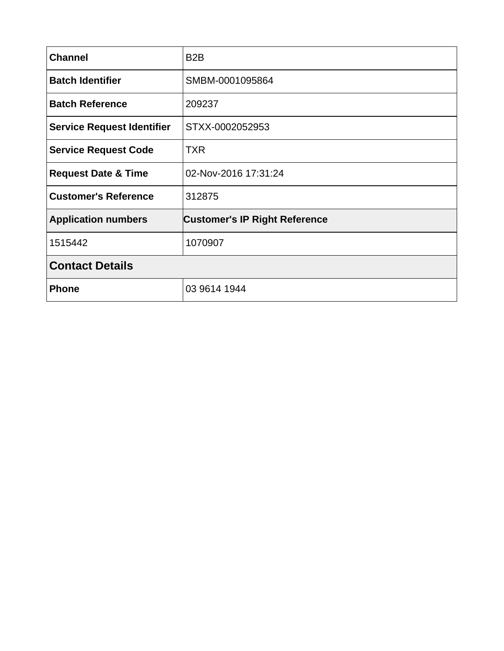| <b>Channel</b>                    | B <sub>2</sub> B                     |  |
|-----------------------------------|--------------------------------------|--|
| <b>Batch Identifier</b>           | SMBM-0001095864                      |  |
| <b>Batch Reference</b>            | 209237                               |  |
| <b>Service Request Identifier</b> | STXX-0002052953                      |  |
| <b>Service Request Code</b>       | <b>TXR</b>                           |  |
| <b>Request Date &amp; Time</b>    | 02-Nov-2016 17:31:24                 |  |
| <b>Customer's Reference</b>       | 312875                               |  |
| <b>Application numbers</b>        | <b>Customer's IP Right Reference</b> |  |
| 1515442                           | 1070907                              |  |
| <b>Contact Details</b>            |                                      |  |
| <b>Phone</b>                      | 03 9614 1944                         |  |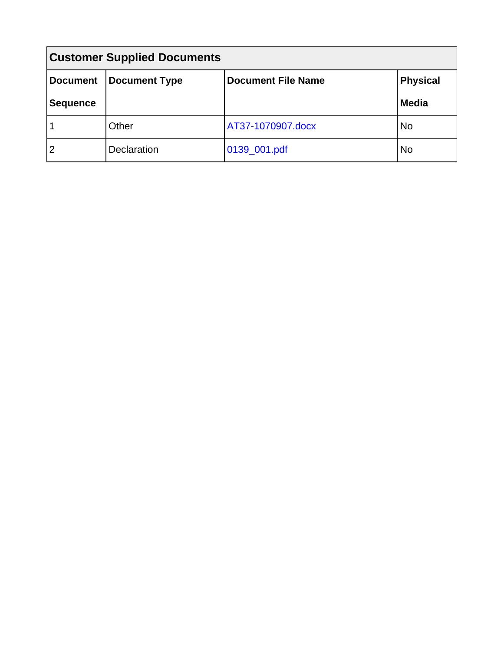| <b>Customer Supplied Documents</b> |                      |                           |                 |  |  |
|------------------------------------|----------------------|---------------------------|-----------------|--|--|
| <b>Document</b>                    | <b>Document Type</b> | <b>Document File Name</b> | <b>Physical</b> |  |  |
| <b>Sequence</b>                    |                      |                           | <b>Media</b>    |  |  |
|                                    | Other                | AT37-1070907.docx         | No              |  |  |
| $\overline{2}$                     | Declaration          | 0139_001.pdf              | No              |  |  |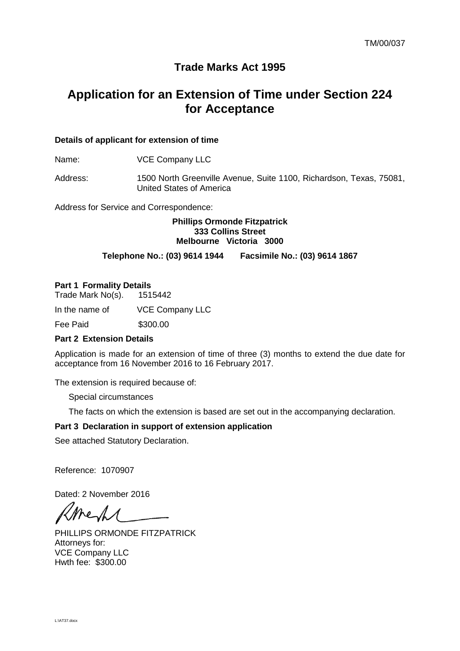### **Trade Marks Act 1995**

## **Application for an Extension of Time under Section 224 for Acceptance**

#### **Details of applicant for extension of time**

Name: **VCE Company LLC** 

Address: 1500 North Greenville Avenue, Suite 1100, Richardson, Texas, 75081, United States of America

Address for Service and Correspondence:

#### **Phillips Ormonde Fitzpatrick 333 Collins Street Melbourne Victoria 3000**

#### **Telephone No.: (03) 9614 1944 Facsimile No.: (03) 9614 1867**

#### **Part 1 Formality Details**

Trade Mark No(s). 1515442

In the name of VCE Company LLC

**Fee Paid \$300.00** 

#### **Part 2 Extension Details**

Application is made for an extension of time of three (3) months to extend the due date for acceptance from 16 November 2016 to 16 February 2017.

The extension is required because of:

Special circumstances

The facts on which the extension is based are set out in the accompanying declaration.

#### **Part 3 Declaration in support of extension application**

See attached Statutory Declaration.

Reference: 1070907

Dated: 2 November 2016

Me1.

PHILLIPS ORMONDE FITZPATRICK Attorneys for: VCE Company LLC Hwth fee: \$300.00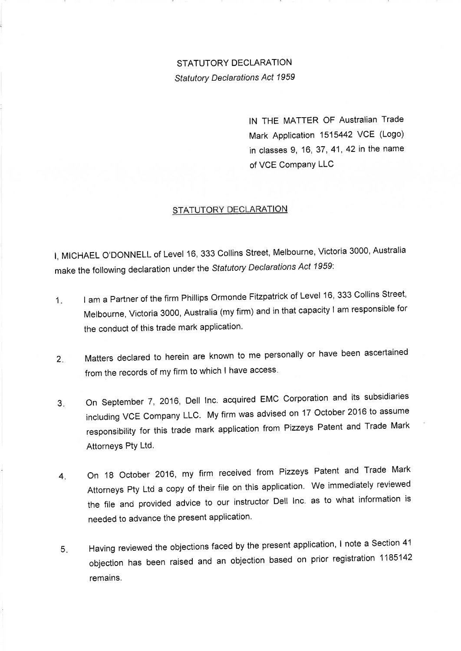### STATUTORY DECLARATION **Statutory Declarations Act 1959**

IN THE MATTER OF Australian Trade Mark Application 1515442 VCE (Logo) in classes 9, 16, 37, 41, 42 in the name of VCE Company LLC

#### STATUTORY DECLARATION

I, MICHAEL O'DONNELL of Level 16, 333 Collins Street, Melbourne, Victoria 3000, Australia make the following declaration under the Statutory Declarations Act 1959:

- I am a Partner of the firm Phillips Ormonde Fitzpatrick of Level 16, 333 Collins Street,  $1<sub>x</sub>$ Melbourne, Victoria 3000, Australia (my firm) and in that capacity I am responsible for the conduct of this trade mark application.
- Matters declared to herein are known to me personally or have been ascertained  $2.$ from the records of my firm to which I have access.
- On September 7, 2016, Dell Inc. acquired EMC Corporation and its subsidiaries 3. including VCE Company LLC. My firm was advised on 17 October 2016 to assume responsibility for this trade mark application from Pizzeys Patent and Trade Mark Attorneys Pty Ltd.
- On 18 October 2016, my firm received from Pizzeys Patent and Trade Mark  $\mathbf{4}$ Attorneys Pty Ltd a copy of their file on this application. We immediately reviewed the file and provided advice to our instructor Dell Inc. as to what information is needed to advance the present application.
- Having reviewed the objections faced by the present application, I note a Section 41  $5.$ objection has been raised and an objection based on prior registration 1185142 remains.